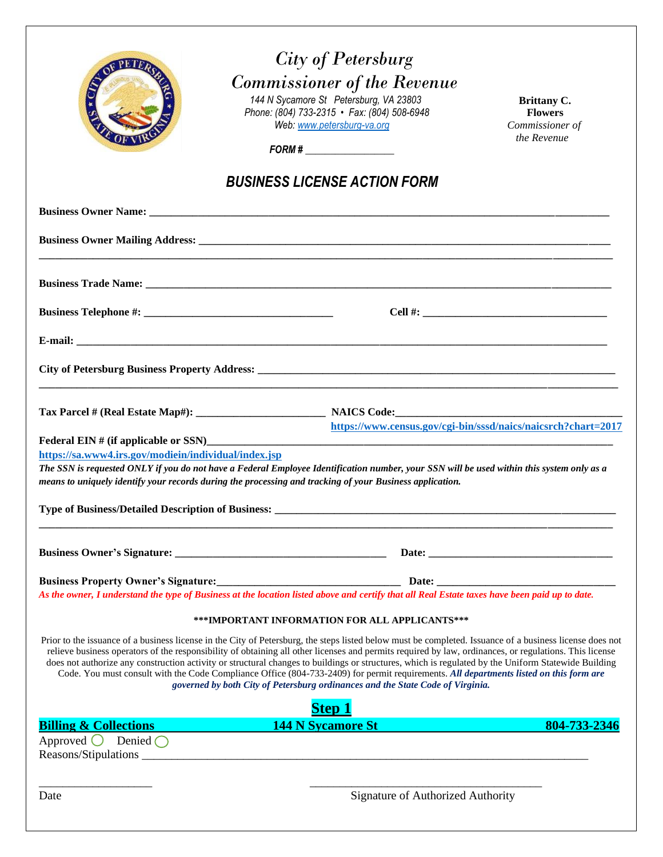|                                                                           | <b>City of Petersburg</b><br><b>Commissioner of the Revenue</b><br>144 N Sycamore St Petersburg, VA 23803<br>Phone: (804) 733-2315 • Fax: (804) 508-6948<br>Web: www.petersburg-va.org                                                                                                                                                                                                                                                                                                                                                                                                                                                                                                                | Brittany C.<br><b>Flowers</b><br>Commissioner of              |
|---------------------------------------------------------------------------|-------------------------------------------------------------------------------------------------------------------------------------------------------------------------------------------------------------------------------------------------------------------------------------------------------------------------------------------------------------------------------------------------------------------------------------------------------------------------------------------------------------------------------------------------------------------------------------------------------------------------------------------------------------------------------------------------------|---------------------------------------------------------------|
|                                                                           | FORM#                                                                                                                                                                                                                                                                                                                                                                                                                                                                                                                                                                                                                                                                                                 | the Revenue                                                   |
|                                                                           | <b>BUSINESS LICENSE ACTION FORM</b>                                                                                                                                                                                                                                                                                                                                                                                                                                                                                                                                                                                                                                                                   |                                                               |
|                                                                           |                                                                                                                                                                                                                                                                                                                                                                                                                                                                                                                                                                                                                                                                                                       |                                                               |
|                                                                           |                                                                                                                                                                                                                                                                                                                                                                                                                                                                                                                                                                                                                                                                                                       |                                                               |
|                                                                           |                                                                                                                                                                                                                                                                                                                                                                                                                                                                                                                                                                                                                                                                                                       |                                                               |
|                                                                           |                                                                                                                                                                                                                                                                                                                                                                                                                                                                                                                                                                                                                                                                                                       |                                                               |
|                                                                           |                                                                                                                                                                                                                                                                                                                                                                                                                                                                                                                                                                                                                                                                                                       |                                                               |
|                                                                           |                                                                                                                                                                                                                                                                                                                                                                                                                                                                                                                                                                                                                                                                                                       |                                                               |
|                                                                           |                                                                                                                                                                                                                                                                                                                                                                                                                                                                                                                                                                                                                                                                                                       |                                                               |
|                                                                           |                                                                                                                                                                                                                                                                                                                                                                                                                                                                                                                                                                                                                                                                                                       | https://www.census.gov/cgi-bin/sssd/naics/naicsrch?chart=2017 |
| https://sa.www4.irs.gov/modiein/individual/index.jsp                      |                                                                                                                                                                                                                                                                                                                                                                                                                                                                                                                                                                                                                                                                                                       |                                                               |
|                                                                           | The SSN is requested ONLY if you do not have a Federal Employee Identification number, your SSN will be used within this system only as a<br>means to uniquely identify your records during the processing and tracking of your Business application.                                                                                                                                                                                                                                                                                                                                                                                                                                                 |                                                               |
|                                                                           |                                                                                                                                                                                                                                                                                                                                                                                                                                                                                                                                                                                                                                                                                                       |                                                               |
|                                                                           |                                                                                                                                                                                                                                                                                                                                                                                                                                                                                                                                                                                                                                                                                                       |                                                               |
|                                                                           |                                                                                                                                                                                                                                                                                                                                                                                                                                                                                                                                                                                                                                                                                                       |                                                               |
|                                                                           | Business Property Owner's Signature:<br>As the owner, I understand the type of Business at the location listed above and certify that all Real Estate taxes have been paid up to date.                                                                                                                                                                                                                                                                                                                                                                                                                                                                                                                |                                                               |
|                                                                           | ***IMPORTANT INFORMATION FOR ALL APPLICANTS***                                                                                                                                                                                                                                                                                                                                                                                                                                                                                                                                                                                                                                                        |                                                               |
|                                                                           | Prior to the issuance of a business license in the City of Petersburg, the steps listed below must be completed. Issuance of a business license does not<br>relieve business operators of the responsibility of obtaining all other licenses and permits required by law, ordinances, or regulations. This license<br>does not authorize any construction activity or structural changes to buildings or structures, which is regulated by the Uniform Statewide Building<br>Code. You must consult with the Code Compliance Office (804-733-2409) for permit requirements. All departments listed on this form are<br>governed by both City of Petersburg ordinances and the State Code of Virginia. |                                                               |
|                                                                           | <b>Step 1</b>                                                                                                                                                                                                                                                                                                                                                                                                                                                                                                                                                                                                                                                                                         |                                                               |
| <b>Billing &amp; Collections</b><br>Approved $\bigcirc$ Denied $\bigcirc$ | 144 N Sycamore St <b>144 N</b> Sycamore St                                                                                                                                                                                                                                                                                                                                                                                                                                                                                                                                                                                                                                                            | 804-733-2346                                                  |
| Date                                                                      | Signature of Authorized Authority                                                                                                                                                                                                                                                                                                                                                                                                                                                                                                                                                                                                                                                                     |                                                               |